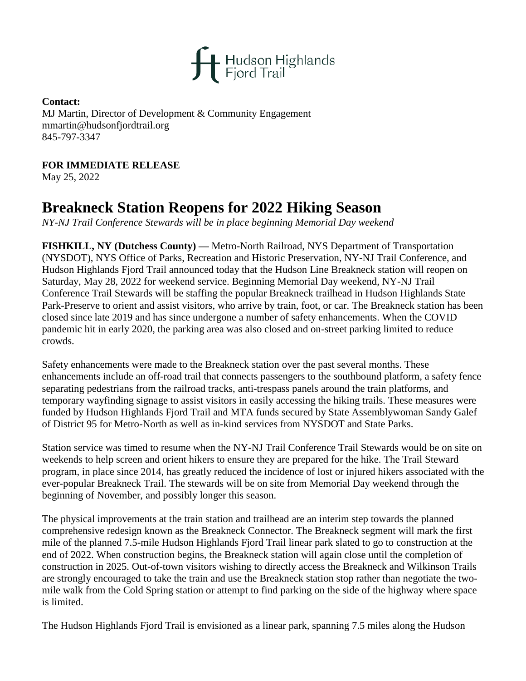

**Contact:** MJ Martin, Director of Development & Community Engagement mmartin@hudsonfjordtrail.org 845-797-3347

## **FOR IMMEDIATE RELEASE**

May 25, 2022

## **Breakneck Station Reopens for 2022 Hiking Season**

*NY-NJ Trail Conference Stewards will be in place beginning Memorial Day weekend*

**FISHKILL, NY (Dutchess County) —** Metro-North Railroad, NYS Department of Transportation (NYSDOT), NYS Office of Parks, Recreation and Historic Preservation, NY-NJ Trail Conference, and Hudson Highlands Fjord Trail announced today that the Hudson Line Breakneck station will reopen on Saturday, May 28, 2022 for weekend service. Beginning Memorial Day weekend, NY-NJ Trail Conference Trail Stewards will be staffing the popular Breakneck trailhead in Hudson Highlands State Park-Preserve to orient and assist visitors, who arrive by train, foot, or car. The Breakneck station has been closed since late 2019 and has since undergone a number of safety enhancements. When the COVID pandemic hit in early 2020, the parking area was also closed and on-street parking limited to reduce crowds.

Safety enhancements were made to the Breakneck station over the past several months. These enhancements include an off-road trail that connects passengers to the southbound platform, a safety fence separating pedestrians from the railroad tracks, anti-trespass panels around the train platforms, and temporary wayfinding signage to assist visitors in easily accessing the hiking trails. These measures were funded by Hudson Highlands Fjord Trail and MTA funds secured by State Assemblywoman Sandy Galef of District 95 for Metro-North as well as in-kind services from NYSDOT and State Parks.

Station service was timed to resume when the NY-NJ Trail Conference Trail Stewards would be on site on weekends to help screen and orient hikers to ensure they are prepared for the hike. The Trail Steward program, in place since 2014, has greatly reduced the incidence of lost or injured hikers associated with the ever-popular Breakneck Trail. The stewards will be on site from Memorial Day weekend through the beginning of November, and possibly longer this season.

The physical improvements at the train station and trailhead are an interim step towards the planned comprehensive redesign known as the Breakneck Connector. The Breakneck segment will mark the first mile of the planned 7.5-mile Hudson Highlands Fjord Trail linear park slated to go to construction at the end of 2022. When construction begins, the Breakneck station will again close until the completion of construction in 2025. Out-of-town visitors wishing to directly access the Breakneck and Wilkinson Trails are strongly encouraged to take the train and use the Breakneck station stop rather than negotiate the twomile walk from the Cold Spring station or attempt to find parking on the side of the highway where space is limited.

The Hudson Highlands Fjord Trail is envisioned as a linear park, spanning 7.5 miles along the Hudson